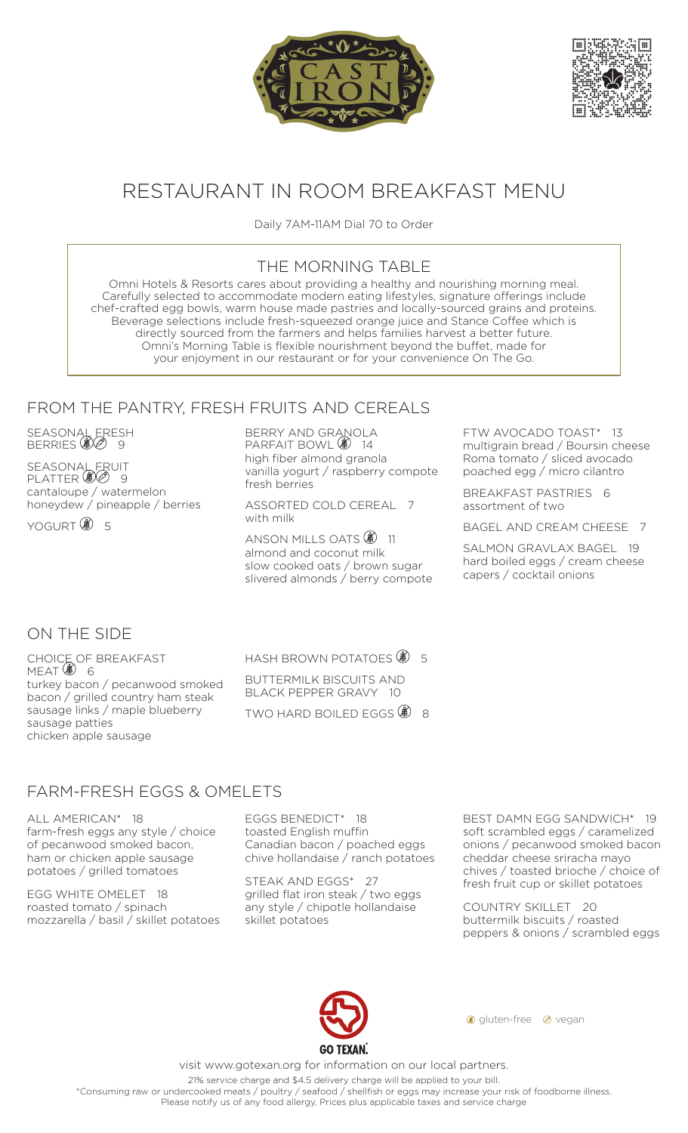



# RESTAURANT IN ROOM BREAKFAST MENU

Daily 7AM-11AM Dial 70 to Order

### THE MORNING TABLE

Omni Hotels & Resorts cares about providing a healthy and nourishing morning meal. Carefully selected to accommodate modern eating lifestyles, signature offerings include chef-crafted egg bowls, warm house made pastries and locally-sourced grains and proteins. Beverage selections include fresh-squeezed orange juice and Stance Coffee which is directly sourced from the farmers and helps families harvest a better future. Omni's Morning Table is flexible nourishment beyond the buffet, made for your enjoyment in our restaurant or for your convenience On The Go.

#### FROM THE PANTRY, FRESH FRUITS AND CEREALS

SEASONAL ERESH BERRIES (UD) 9

**SEASONAL FRUIT** PLATTER **(8)** 9 cantaloupe / watermelon honeydew / pineapple / berries

YOGURT **8** 5

BERRY AND GRANOLA PARFAIT BOWL  $\circledast$  14 high fiber almond granola vanilla yogurt / raspberry compote fresh berries

ASSORTED COLD CEREAL 7 with milk

ANSON MILLS OATS<sup><sup>3</sup>11</sup> almond and coconut milk slow cooked oats / brown sugar slivered almonds / berry compote FTW AVOCADO TOAST\* 13 multigrain bread / Boursin cheese Roma tomato / sliced avocado poached egg / micro cilantro

BREAKFAST PASTRIES 6 assortment of two

BAGEL AND CREAM CHEESE 7

SALMON GRAVLAX BAGEL 19 hard boiled eggs / cream cheese capers / cocktail onions

## ON THE SIDE

CHOICE OF BREAKFAST meat (**@**) 6 turkey bacon / pecanwood smoked bacon / grilled country ham steak sausage links / maple blueberry sausage patties chicken apple sausage

HASH BROWN POTATOES  $$$  5 BUTTERMILK BISCUITS AND BLACK PEPPER GRAVY 10

TWO HARD BOILED EGGS  $\circledast$  8

# FARM-FRESH EGGS & OMELETS

ALL AMERICAN\* 18 farm-fresh eggs any style / choice of pecanwood smoked bacon, ham or chicken apple sausage potatoes / grilled tomatoes

EGG WHITE OMELET 18 roasted tomato / spinach mozzarella / basil / skillet potatoes EGGS BENEDICT\* 18 toasted English muffin Canadian bacon / poached eggs chive hollandaise / ranch potatoes

STEAK AND EGGS\* 27 grilled flat iron steak / two eggs any style / chipotle hollandaise skillet potatoes

BEST DAMN EGG SANDWICH\* 19 soft scrambled eggs / caramelized onions / pecanwood smoked bacon cheddar cheese sriracha mayo chives / toasted brioche / choice of fresh fruit cup or skillet potatoes

COUNTRY SKILLET 20 buttermilk biscuits / roasted peppers & onions / scrambled eggs



**g** gluten-free @ vegan

visit www.gotexan.org for information on our local partners.

21% service charge and \$4.5 delivery charge will be applied to your bill. \*Consuming raw or undercooked meats / poultry / seafood / shellfish or eggs may increase your risk of foodborne illness.

Please notify us of any food allergy. Prices plus applicable taxes and service charge